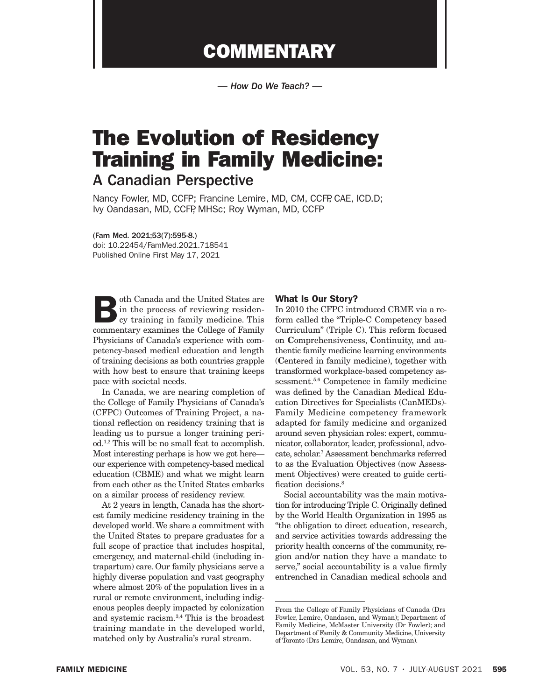## **COMMENTARY**

*— How Do We Teach? —*

# The Evolution of Residency Training in Family Medicine: A Canadian Perspective

Nancy Fowler, MD, CCFP; Francine Lemire, MD, CM, CCFP, CAE, ICD.D; Ivy Oandasan, MD, CCFP, MHSc; Roy Wyman, MD, CCFP

(Fam Med. 2021;53(7):595-8.) doi: 10.22454/FamMed.2021.718541 Published Online First May 17, 2021

oth Canada and the United States are in the process of reviewing residency training in family medicine. This commentary examines the College of Family Physicians of Canada's experience with competency-based medical education and length of training decisions as both countries grapple with how best to ensure that training keeps pace with societal needs.

In Canada, we are nearing completion of the College of Family Physicians of Canada's (CFPC) Outcomes of Training Project, a national reflection on residency training that is leading us to pursue a longer training period.1,2 This will be no small feat to accomplish. Most interesting perhaps is how we got here our experience with competency-based medical education (CBME) and what we might learn from each other as the United States embarks on a similar process of residency review.

At 2 years in length, Canada has the shortest family medicine residency training in the developed world. We share a commitment with the United States to prepare graduates for a full scope of practice that includes hospital, emergency, and maternal-child (including intrapartum) care. Our family physicians serve a highly diverse population and vast geography where almost 20% of the population lives in a rural or remote environment, including indigenous peoples deeply impacted by colonization and systemic racism.3,4 This is the broadest training mandate in the developed world, matched only by Australia's rural stream.

#### What Is Our Story?

In 2010 the CFPC introduced CBME via a reform called the "Triple-C Competency based Curriculum" (Triple C). This reform focused on Comprehensiveness, Continuity, and authentic family medicine learning environments (Centered in family medicine), together with transformed workplace-based competency assessment.<sup>5,6</sup> Competence in family medicine was defined by the Canadian Medical Education Directives for Specialists (CanMEDs)- Family Medicine competency framework adapted for family medicine and organized around seven physician roles: expert, communicator, collaborator, leader, professional, advocate, scholar.7 Assessment benchmarks referred to as the Evaluation Objectives (now Assessment Objectives) were created to guide certification decisions.<sup>8</sup>

Social accountability was the main motivation for introducing Triple C. Originally defined by the World Health Organization in 1995 as "the obligation to direct education, research, and service activities towards addressing the priority health concerns of the community, region and/or nation they have a mandate to serve," social accountability is a value firmly entrenched in Canadian medical schools and

From the College of Family Physicians of Canada (Drs Fowler, Lemire, Oandasen, and Wyman); Department of Family Medicine, McMaster University (Dr Fowler); and Department of Family & Community Medicine, University of Toronto (Drs Lemire, Oandasan, and Wyman).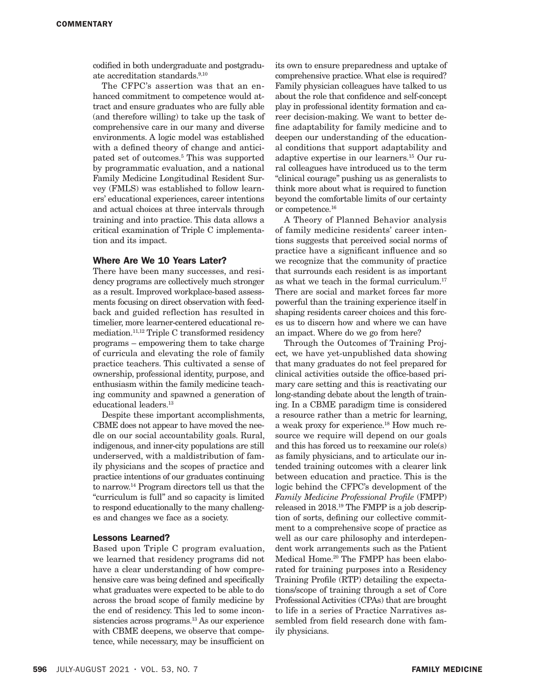codified in both undergraduate and postgraduate accreditation standards.<sup>9,10</sup>

The CFPC's assertion was that an enhanced commitment to competence would attract and ensure graduates who are fully able (and therefore willing) to take up the task of comprehensive care in our many and diverse environments. A logic model was established with a defined theory of change and anticipated set of outcomes.5 This was supported by programmatic evaluation, and a national Family Medicine Longitudinal Resident Survey (FMLS) was established to follow learners' educational experiences, career intentions and actual choices at three intervals through training and into practice. This data allows a critical examination of Triple C implementation and its impact.

## Where Are We 10 Years Later?

There have been many successes, and residency programs are collectively much stronger as a result. Improved workplace-based assessments focusing on direct observation with feedback and guided reflection has resulted in timelier, more learner-centered educational remediation.11,12 Triple C transformed residency programs – empowering them to take charge of curricula and elevating the role of family practice teachers. This cultivated a sense of ownership, professional identity, purpose, and enthusiasm within the family medicine teaching community and spawned a generation of educational leaders.<sup>13</sup>

Despite these important accomplishments, CBME does not appear to have moved the needle on our social accountability goals. Rural, indigenous, and inner-city populations are still underserved, with a maldistribution of family physicians and the scopes of practice and practice intentions of our graduates continuing to narrow.14 Program directors tell us that the "curriculum is full" and so capacity is limited to respond educationally to the many challenges and changes we face as a society.

## Lessons Learned?

Based upon Triple C program evaluation, we learned that residency programs did not have a clear understanding of how comprehensive care was being defined and specifically what graduates were expected to be able to do across the broad scope of family medicine by the end of residency. This led to some inconsistencies across programs.<sup>13</sup> As our experience with CBME deepens, we observe that competence, while necessary, may be insufficient on

its own to ensure preparedness and uptake of comprehensive practice. What else is required? Family physician colleagues have talked to us about the role that confidence and self-concept play in professional identity formation and career decision-making. We want to better define adaptability for family medicine and to deepen our understanding of the educational conditions that support adaptability and adaptive expertise in our learners.15 Our rural colleagues have introduced us to the term "clinical courage" pushing us as generalists to think more about what is required to function beyond the comfortable limits of our certainty or competence.16

A Theory of Planned Behavior analysis of family medicine residents' career intentions suggests that perceived social norms of practice have a significant influence and so we recognize that the community of practice that surrounds each resident is as important as what we teach in the formal curriculum.17 There are social and market forces far more powerful than the training experience itself in shaping residents career choices and this forces us to discern how and where we can have an impact. Where do we go from here?

Through the Outcomes of Training Project*,* we have yet-unpublished data showing that many graduates do not feel prepared for clinical activities outside the office-based primary care setting and this is reactivating our long-standing debate about the length of training. In a CBME paradigm time is considered a resource rather than a metric for learning, a weak proxy for experience.18 How much resource we require will depend on our goals and this has forced us to reexamine our role(s) as family physicians, and to articulate our intended training outcomes with a clearer link between education and practice. This is the logic behind the CFPC's development of the *Family Medicine Professional Profile* (FMPP) released in 2018.19 The FMPP is a job description of sorts, defining our collective commitment to a comprehensive scope of practice as well as our care philosophy and interdependent work arrangements such as the Patient Medical Home.20 The FMPP has been elaborated for training purposes into a Residency Training Profile (RTP) detailing the expectations/scope of training through a set of Core Professional Activities (CPAs) that are brought to life in a series of Practice Narratives assembled from field research done with family physicians.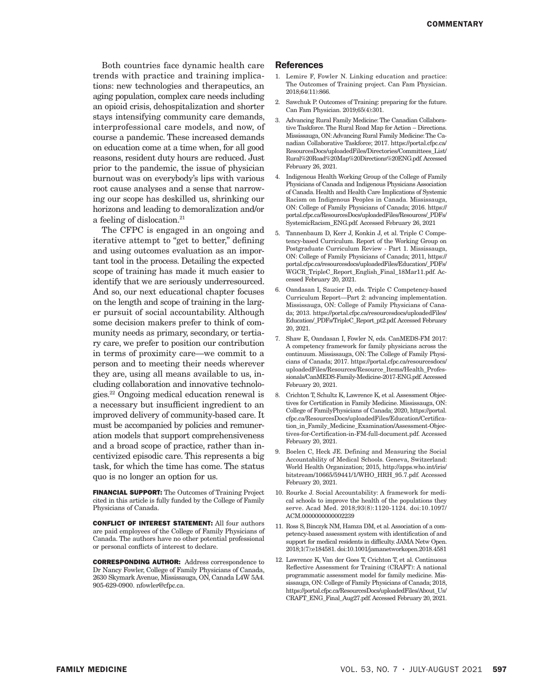Both countries face dynamic health care trends with practice and training implications: new technologies and therapeutics, an aging population, complex care needs including an opioid crisis, dehospitalization and shorter stays intensifying community care demands, interprofessional care models, and now, of course a pandemic. These increased demands on education come at a time when, for all good reasons, resident duty hours are reduced. Just prior to the pandemic, the issue of physician burnout was on everybody's lips with various root cause analyses and a sense that narrowing our scope has deskilled us, shrinking our horizons and leading to demoralization and/or a feeling of dislocation.21

The CFPC is engaged in an ongoing and iterative attempt to "get to better," defining and using outcomes evaluation as an important tool in the process. Detailing the expected scope of training has made it much easier to identify that we are seriously underresourced. And so, our next educational chapter focuses on the length and scope of training in the larger pursuit of social accountability. Although some decision makers prefer to think of community needs as primary, secondary, or tertiary care, we prefer to position our contribution in terms of proximity care—we commit to a person and to meeting their needs wherever they are, using all means available to us, including collaboration and innovative technologies.22 Ongoing medical education renewal is a necessary but insufficient ingredient to an improved delivery of community-based care. It must be accompanied by policies and remuneration models that support comprehensiveness and a broad scope of practice, rather than incentivized episodic care. This represents a big task, for which the time has come. The status quo is no longer an option for us.

FINANCIAL SUPPORT: The Outcomes of Training Project cited in this article is fully funded by the College of Family Physicians of Canada.

CONFLICT OF INTEREST STATEMENT: All four authors are paid employees of the College of Family Physicians of Canada. The authors have no other potential professional or personal conflicts of interest to declare.

CORRESPONDING AUTHOR: Address correspondence to Dr Nancy Fowler, College of Family Physicians of Canada, 2630 Skymark Avenue, Mississauga, ON, Canada L4W 5A4. 905-629-0900. nfowler@cfpc.ca.

#### References

- 1. Lemire F, Fowler N. Linking education and practice: The Outcomes of Training project. Can Fam Physician. 2018;64(11):866.
- 2. Sawchuk P. Outcomes of Training: preparing for the future. Can Fam Physician. 2019;65(4):301.
- 3. Advancing Rural Family Medicine: The Canadian Collaborative Taskforce. The Rural Road Map for Action – Directions. Mississauga, ON: Advancing Rural Family Medicine: The Canadian Collaborative Taskforce; 2017. https://portal.cfpc.ca/ ResourcesDocs/uploadedFiles/Directories/Committees\_List/ Rural%20Road%20Map%20Directions%20ENG.pdf. Accessed February 26, 2021.
- 4. Indigenous Health Working Group of the College of Family Physicians of Canada and Indigenous Physicians Association of Canada. Health and Health Care Implications of Systemic Racism on Indigenous Peoples in Canada. Mississauga, ON: College of Family Physicians of Canada; 2016. https:// portal.cfpc.ca/ResourcesDocs/uploadedFiles/Resources/\_PDFs/ SystemicRacism\_ENG.pdf. Accessed February 26, 2021
- 5. Tannenbaum D, Kerr J, Konkin J, et al. Triple C Competency‐based Curriculum. Report of the Working Group on Postgraduate Curriculum Review ‐ Part 1. Mississauga, ON: College of Family Physicians of Canada; 2011, https:// portal.cfpc.ca/resourcesdocs/uploadedFiles/Education/\_PDFs/ WGCR\_TripleC\_Report\_English\_Final\_18Mar11.pdf. Accessed February 20, 2021.
- 6. Oandasan I, Saucier D, eds. Triple C Competency‐based Curriculum Report—Part 2: advancing implementation. Mississauga, ON: College of Family Physicians of Canada; 2013. https://portal.cfpc.ca/resourcesdocs/uploadedFiles/ Education/\_PDFs/TripleC\_Report\_pt2.pdf. Accessed February 20, 2021.
- 7. Shaw E, Oandasan I, Fowler N, eds. CanMEDS-FM 2017: A competency framework for family physicians across the continuum. Mississauga, ON: The College of Family Physicians of Canada; 2017. https://portal.cfpc.ca/resourcesdocs/ uploadedFiles/Resources/Resource\_Items/Health\_Professionals/CanMEDS-Family-Medicine-2017-ENG.pdf. Accessed February 20, 2021.
- 8. Crichton T, Schultz K, Lawrence K, et al. Assessment Objectives for Certification in Family Medicine. Mississauga, ON: College of FamilyPhysicians of Canada; 2020, https://portal. cfpc.ca/ResourcesDocs/uploadedFiles/Education/Certification\_in\_Family\_Medicine\_Examination/Assessment-Objectives-for-Certification-in-FM-full-document.pdf. Accessed February 20, 2021.
- 9. Boelen C, Heck JE. Defining and Measuring the Social Accountability of Medical Schools. Geneva, Switzerland: World Health Organization; 2015, http://apps.who.int/iris/ bitstream/10665/59441/1/WHO\_HRH\_95.7.pdf. Accessed February 20, 2021.
- 10. Rourke J. Social Accountability: A framework for medical schools to improve the health of the populations they serve. Acad Med. 2018;93(8):1120-1124. doi:10.1097/ ACM.0000000000002239
- 11. Ross S, Binczyk NM, Hamza DM, et al. Association of a competency-based assessment system with identification of and support for medical residents in difficulty. JAMA Netw Open. 2018;1(7):e184581. doi:10.1001/jamanetworkopen.2018.4581
- 12. Lawrence K, Van der Goes T, Crichton T, et al. Continuous Reflective Assessment for Training (CRAFT): A national programmatic assessment model for family medicine. Mississauga, ON: College of Family Physicians of Canada; 2018, https://portal.cfpc.ca/ResourcesDocs/uploadedFiles/About\_Us/ CRAFT\_ENG\_Final\_Aug27.pdf. Accessed February 20, 2021.